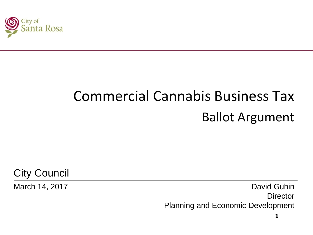

# Commercial Cannabis Business Tax Ballot Argument

City Council

March 14, 2017 **David Guhin Director** Planning and Economic Development

1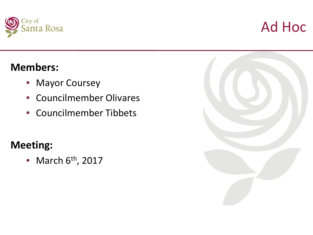



#### **Members:**

- Mayor Coursey
- Councilmember Olivares
- Councilmember Tibbets

### **Meeting:**

• March  $6<sup>th</sup>$ , 2017

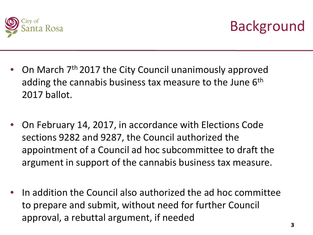



- On March 7th 2017 the City Council unanimously approved adding the cannabis business tax measure to the June 6<sup>th</sup> 2017 ballot.
- On February 14, 2017, in accordance with Elections Code sections 9282 and 9287, the Council authorized the appointment of a Council ad hoc subcommittee to draft the argument in support of the cannabis business tax measure.
- In addition the Council also authorized the ad hoc committee to prepare and submit, without need for further Council approval, a rebuttal argument, if needed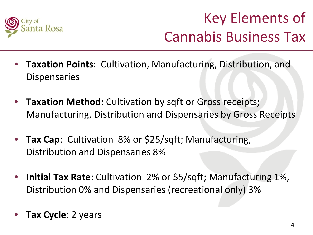

## Key Elements of Cannabis Business Tax

- **Taxation Points**: Cultivation, Manufacturing, Distribution, and **Dispensaries**
- **Taxation Method**: Cultivation by sqft or Gross receipts; Manufacturing, Distribution and Dispensaries by Gross Receipts
- **Tax Cap**: Cultivation 8% or \$25/sqft; Manufacturing, Distribution and Dispensaries 8%
- **Initial Tax Rate**: Cultivation 2% or \$5/sqft; Manufacturing 1%, Distribution 0% and Dispensaries (recreational only) 3%
- **Tax Cycle**: 2 years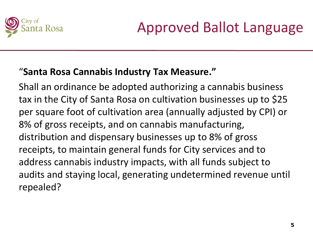

#### "**Santa Rosa Cannabis Industry Tax Measure."**

Shall an ordinance be adopted authorizing a cannabis business tax in the City of Santa Rosa on cultivation businesses up to \$25 per square foot of cultivation area (annually adjusted by CPI) or 8% of gross receipts, and on cannabis manufacturing, distribution and dispensary businesses up to 8% of gross receipts, to maintain general funds for City services and to address cannabis industry impacts, with all funds subject to audits and staying local, generating undetermined revenue until repealed?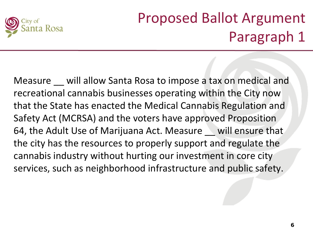

Measure \_\_ will allow Santa Rosa to impose a tax on medical and recreational cannabis businesses operating within the City now that the State has enacted the Medical Cannabis Regulation and Safety Act (MCRSA) and the voters have approved Proposition 64, the Adult Use of Marijuana Act. Measure will ensure that the city has the resources to properly support and regulate the cannabis industry without hurting our investment in core city services, such as neighborhood infrastructure and public safety.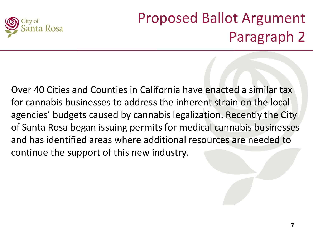

Over 40 Cities and Counties in California have enacted a similar tax for cannabis businesses to address the inherent strain on the local agencies' budgets caused by cannabis legalization. Recently the City of Santa Rosa began issuing permits for medical cannabis businesses and has identified areas where additional resources are needed to continue the support of this new industry.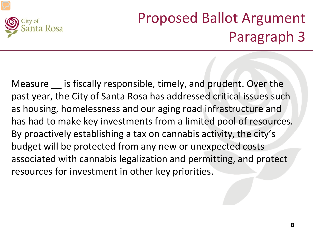

Measure is fiscally responsible, timely, and prudent. Over the past year, the City of Santa Rosa has addressed critical issues such as housing, homelessness and our aging road infrastructure and has had to make key investments from a limited pool of resources. By proactively establishing a tax on cannabis activity, the city's budget will be protected from any new or unexpected costs associated with cannabis legalization and permitting, and protect resources for investment in other key priorities.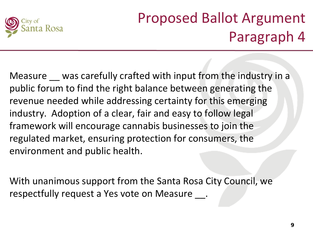

Measure \_\_ was carefully crafted with input from the industry in a public forum to find the right balance between generating the revenue needed while addressing certainty for this emerging industry. Adoption of a clear, fair and easy to follow legal framework will encourage cannabis businesses to join the regulated market, ensuring protection for consumers, the environment and public health.

With unanimous support from the Santa Rosa City Council, we respectfully request a Yes vote on Measure .